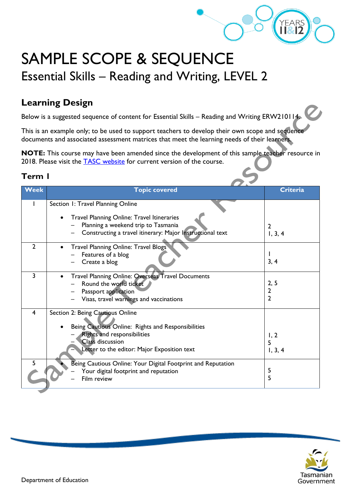

## SAMPLE SCOPE & SEQUENCE Essential Skills – Reading and Writing, LEVEL 2

## **Learning Design**

Below is a suggested sequence of content for Essential Skills – Reading and Writing ERW210114.

This is an example only; to be used to support teachers to develop their own scope and sequence documents and associated assessment matrices that meet the learning needs of their learners.

**NOTE:** This course may have been amended since the development of this sample teacher resource in 2018. Please visit the **TASC** website for current version of the course.

## **Term 1**

| <b>Week</b>    | <b>Topic covered</b>                                           | <b>Criteria</b> |  |
|----------------|----------------------------------------------------------------|-----------------|--|
|                |                                                                |                 |  |
|                | Section 1: Travel Planning Online                              |                 |  |
|                |                                                                |                 |  |
|                | <b>Travel Planning Online: Travel Itineraries</b><br>$\bullet$ |                 |  |
|                | Planning a weekend trip to Tasmania                            | $\overline{2}$  |  |
|                | Constructing a travel itinerary: Major Instructional text      | 1, 3, 4         |  |
|                |                                                                |                 |  |
| $\overline{2}$ | <b>Travel Planning Online: Travel Blogs</b>                    |                 |  |
|                | Features of a blog                                             |                 |  |
|                | Create a blog                                                  | 3, 4            |  |
|                |                                                                |                 |  |
| 3              | Travel Planning Online: Overseas Travel Documents              |                 |  |
|                | Round the world ticket                                         | 2, 5            |  |
|                | Passport application                                           | $\mathbf{2}$    |  |
|                | Visas, travel warnings and vaccinations                        | 2               |  |
|                |                                                                |                 |  |
| $\overline{4}$ | Section 2: Being Cautious Online                               |                 |  |
|                |                                                                |                 |  |
|                | Being Cautious Online: Rights and Responsibilities             |                 |  |
|                | <b>Rights and responsibilities</b>                             | 1, 2            |  |
|                | <b>Class discussion</b>                                        | 5               |  |
|                | Letter to the editor: Major Exposition text                    | 1, 3, 4         |  |
|                |                                                                |                 |  |
| 5              | Being Cautious Online: Your Digital Footprint and Reputation   |                 |  |
|                | Your digital footprint and reputation                          | 5               |  |
|                | Film review                                                    | 5               |  |
|                |                                                                |                 |  |

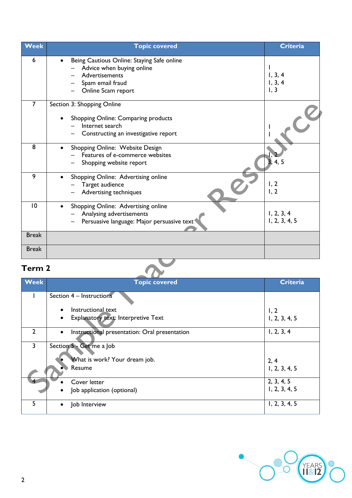| <b>Week</b>    | <b>Topic covered</b>                                                                                                                       | <b>Criteria</b>                 |
|----------------|--------------------------------------------------------------------------------------------------------------------------------------------|---------------------------------|
| 6              | Being Cautious Online: Staying Safe online<br>Advice when buying online<br><b>Advertisements</b><br>Spam email fraud<br>Online Scam report | 1, 3, 4<br>1, 3, 4<br>1, 3      |
| $\overline{7}$ | Section 3: Shopping Online                                                                                                                 |                                 |
|                | Shopping Online: Comparing products<br>Internet search<br>Constructing an investigative report                                             |                                 |
| 8              | Shopping Online: Website Design<br>Features of e-commerce websites<br>Shopping website report                                              |                                 |
| 9              | Shopping Online: Advertising online<br>Target audience<br>Advertising techniques                                                           | 1, 2<br>1, 2                    |
| 10             | Shopping Online: Advertising online<br>Analysing advertisements<br>Persuasive language: Major persuasive text <sup>®</sup>                 | $1, 2, 3, 4$<br>$1, 2, 3, 4, 5$ |
| <b>Break</b>   |                                                                                                                                            |                                 |
| <b>Break</b>   |                                                                                                                                            |                                 |

## **Term 2**

| Term <sub>2</sub> |                                                            |                 |  |  |
|-------------------|------------------------------------------------------------|-----------------|--|--|
| <b>Week</b>       | <b>Topic covered</b>                                       | <b>Criteria</b> |  |  |
|                   | Section 4 - Instructions                                   |                 |  |  |
|                   | Instructional text                                         | 1, 2            |  |  |
|                   | Explanatory text: Interpretive Text                        | 1, 2, 3, 4, 5   |  |  |
| $\overline{2}$    | Instructional presentation: Oral presentation<br>$\bullet$ | 1, 2, 3, 4      |  |  |
| 3                 | Section 5 - Get me a Job                                   |                 |  |  |
|                   | What is work? Your dream job.                              | 2, 4            |  |  |
|                   | Resume                                                     | 1, 2, 3, 4, 5   |  |  |
|                   | Cover letter                                               | 2, 3, 4, 5      |  |  |
|                   | Job application (optional)                                 | 1, 2, 3, 4, 5   |  |  |
| 5                 | Job Interview                                              | 1, 2, 3, 4, 5   |  |  |